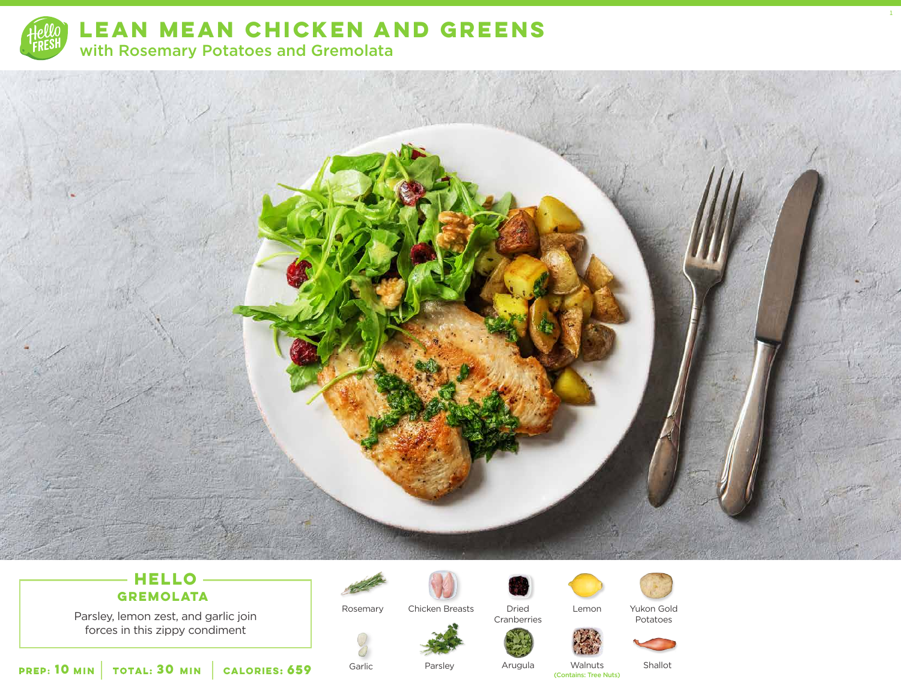

**LEAN MEAN CHICKEN AND GREENS**  with Rosemary Potatoes and Gremolata



### **HELLO GREMOLATA**

Parsley, lemon zest, and garlic join forces in this zippy condiment



Rosemary Chicken Breasts Dried



Cranberries



Lemon Yukon Gold

Potatoes

1



Garlic

**659** Garlic Parsley Arugula Walnuts Shallot<br>Contains: Tree Nuts)

**10** MIN | TOTAL: **30** MIN | CALORIES: